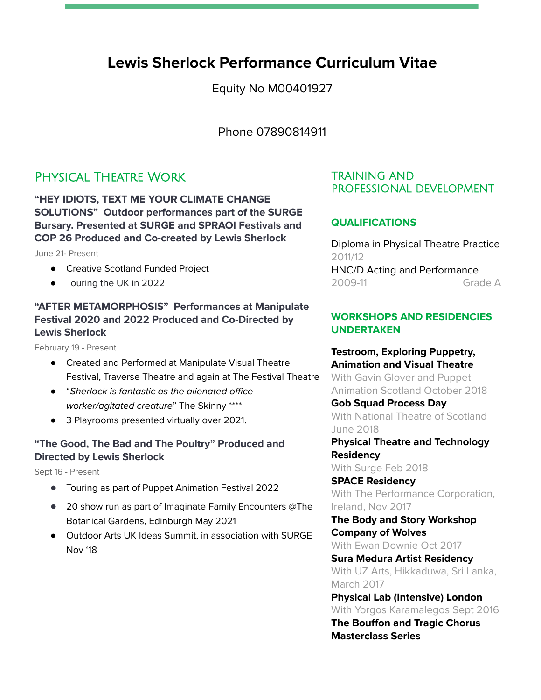# **Lewis Sherlock Performance Curriculum Vitae**

Equity No M00401927

Phone 07890814911

## Physical Theatre Work

**"HEY IDIOTS, TEXT ME YOUR CLIMATE CHANGE SOLUTIONS" Outdoor performances part of the SURGE Bursary. Presented at SURGE and SPRAOI Festivals and COP 26 Produced and Co-created by Lewis Sherlock**

June 21- Present

- Creative Scotland Funded Project
- Touring the UK in 2022

## **"AFTER METAMORPHOSIS" Performances at Manipulate Festival 2020 and 2022 Produced and Co-Directed by Lewis Sherlock**

February 19 - Present

- Created and Performed at Manipulate Visual Theatre Festival, Traverse Theatre and again at The Festival Theatre
- "Sherlock is fantastic as the alienated office worker/agitated creature" The Skinny \*\*\*\*
- 3 Playrooms presented virtually over 2021.

#### **"The Good, The Bad and The Poultry" Produced and Directed by Lewis Sherlock**

Sept 16 - Present

- **●** Touring as part of Puppet Animation Festival 2022
- **●** 20 show run as part of Imaginate Family Encounters @The Botanical Gardens, Edinburgh May 2021
- Outdoor Arts UK Ideas Summit, in association with SURGE Nov '18

### TRAINING AND PROFESSIONAL DEVELOPMENT

## **QUALIFICATIONS**

Diploma in Physical Theatre Practice 2011/12 HNC/D Acting and Performance 2009-11 Grade A

## **WORKSHOPS AND RESIDENCIES UNDERTAKEN**

**Testroom, Exploring Puppetry, Animation and Visual Theatre** With Gavin Glover and Puppet Animation Scotland October 2018

**Gob Squad Process Day** With National Theatre of Scotland June 2018

**Physical Theatre and Technology Residency**

With Surge Feb 2018

**SPACE Residency** With The Performance Corporation, Ireland, Nov 2017

**The Body and Story Workshop Company of Wolves**

With Ewan Downie Oct 2017

**Sura Medura Artist Residency** With UZ Arts, Hikkaduwa, Sri Lanka, March 2017

**Physical Lab (Intensive) London** With Yorgos Karamalegos Sept 2016 **The Bouffon and Tragic Chorus Masterclass Series**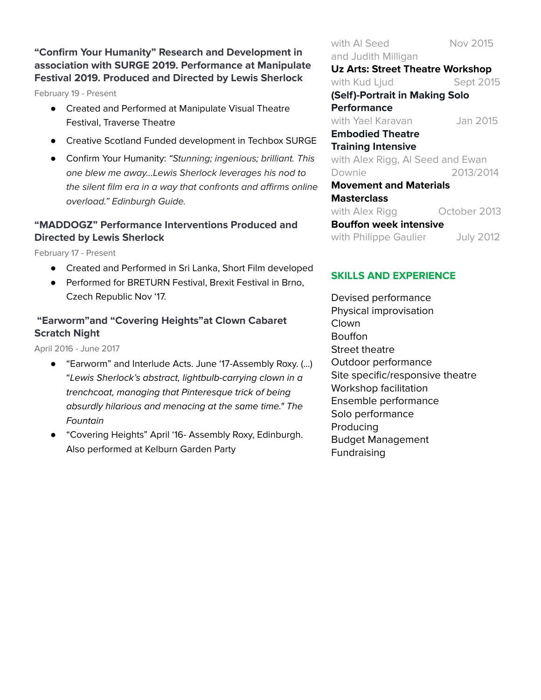## **"Confirm Your Humanity" Research and Development in association with SURGE 2019. Performance at Manipulate Festival 2019. Produced and Directed by Lewis Sherlock**

February 19 - Present

- Created and Performed at Manipulate Visual Theatre Festival, Traverse Theatre
- Creative Scotland Funded development in Techbox SURGE
- Confirm Your Humanity: "Stunning; ingenious; brilliant. This one blew me away...Lewis Sherlock leverages his nod to the silent film era in a way that confronts and affirms online overload." Edinburgh Guide.

## **"MADDOGZ" Performance Interventions Produced and Directed by Lewis Sherlock**

February 17 - Present

- Created and Performed in Sri Lanka, Short Film developed
- Performed for BRETURN Festival, Brexit Festival in Brno, Czech Republic Nov '17.

## **"Earworm"and "Covering Heights"at Clown Cabaret Scratch Night**

April 2016 - June 2017

- "Earworm" and Interlude Acts. June '17-Assembly Roxy. (...) "Lewis Sherlock's abstract, lightbulb-carrying clown in a trenchcoat, managing that Pinteresque trick of being absurdly hilarious and menacing at the same time." The Fountain
- "Covering Heights" April '16- Assembly Roxy, Edinburgh. Also performed at Kelburn Garden Party

with AI Seed Nov 2015 and Judith Milligan **Uz Arts: Street Theatre Workshop** with Kud Ljud Sept 2015 **(Self)-Portrait in Making Solo Performance** with Yael Karavan Jan 2015 **Embodied Theatre Training Intensive** with Alex Rigg, Al Seed and Ewan Downie 2013/2014 **Movement and Materials Masterclass** with Alex Rigg **Conser 2013 Bouffon week intensive** with Philippe Gaulier July 2012

## **SKILLS AND EXPERIENCE**

Devised performance Physical improvisation **Clown Bouffon** Street theatre Outdoor performance Site specific/responsive theatre Workshop facilitation Ensemble performance Solo performance Producing Budget Management **Fundraising**